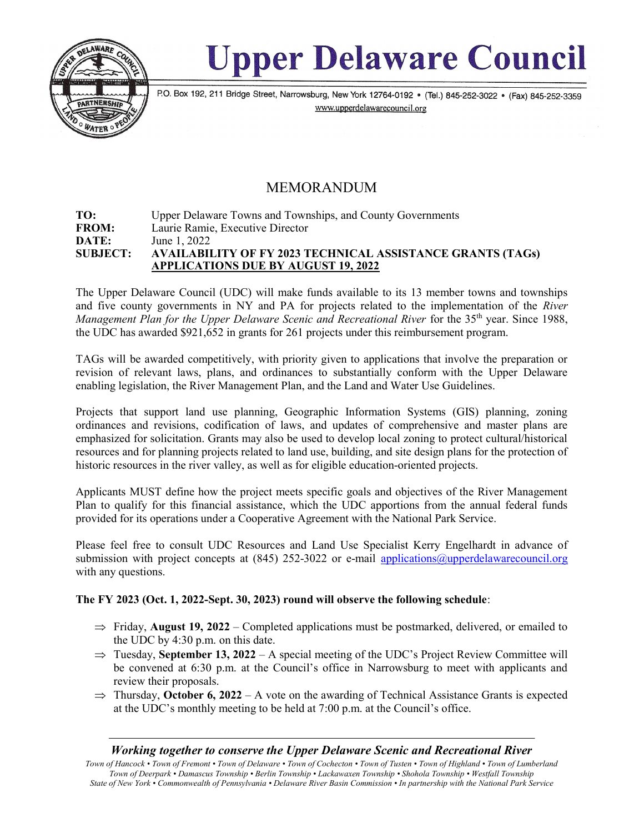

# **Upper Delaware Council**

P.O. Box 192, 211 Bridge Street, Narrowsburg, New York 12764-0192 • (Tel.) 845-252-3022 • (Fax) 845-252-3359 www.upperdelawarecouncil.org

## MEMORANDUM

#### TO: Upper Delaware Towns and Townships, and County Governments FROM: Laurie Ramie, Executive Director **DATE:** June 1, 2022 SUBJECT: AVAILABILITY OF FY 2023 TECHNICAL ASSISTANCE GRANTS (TAGs) APPLICATIONS DUE BY AUGUST 19, 2022

The Upper Delaware Council (UDC) will make funds available to its 13 member towns and townships and five county governments in NY and PA for projects related to the implementation of the River Management Plan for the Upper Delaware Scenic and Recreational River for the  $35<sup>th</sup>$  year. Since 1988, the UDC has awarded \$921,652 in grants for 261 projects under this reimbursement program.

TAGs will be awarded competitively, with priority given to applications that involve the preparation or revision of relevant laws, plans, and ordinances to substantially conform with the Upper Delaware enabling legislation, the River Management Plan, and the Land and Water Use Guidelines.

Projects that support land use planning, Geographic Information Systems (GIS) planning, zoning ordinances and revisions, codification of laws, and updates of comprehensive and master plans are emphasized for solicitation. Grants may also be used to develop local zoning to protect cultural/historical resources and for planning projects related to land use, building, and site design plans for the protection of historic resources in the river valley, as well as for eligible education-oriented projects.

Applicants MUST define how the project meets specific goals and objectives of the River Management Plan to qualify for this financial assistance, which the UDC apportions from the annual federal funds provided for its operations under a Cooperative Agreement with the National Park Service.

Please feel free to consult UDC Resources and Land Use Specialist Kerry Engelhardt in advance of submission with project concepts at (845) 252-3022 or e-mail applications@upperdelawarecouncil.org with any questions.

### The FY 2023 (Oct. 1, 2022-Sept. 30, 2023) round will observe the following schedule:

- $\Rightarrow$  Friday, **August 19, 2022** Completed applications must be postmarked, delivered, or emailed to the UDC by 4:30 p.m. on this date.
- $\Rightarrow$  Tuesday, September 13, 2022 A special meeting of the UDC's Project Review Committee will be convened at 6:30 p.m. at the Council's office in Narrowsburg to meet with applicants and review their proposals.
- $\Rightarrow$  Thursday, October 6, 2022 A vote on the awarding of Technical Assistance Grants is expected at the UDC's monthly meeting to be held at 7:00 p.m. at the Council's office.

### Working together to conserve the Upper Delaware Scenic and Recreational River

Town of Hancock • Town of Fremont • Town of Delaware • Town of Cochecton • Town of Tusten • Town of Highland • Town of Lumberland Town of Deerpark • Damascus Township • Berlin Township • Lackawaxen Township • Shohola Township • Westfall Township State of New York • Commonwealth of Pennsylvania • Delaware River Basin Commission • In partnership with the National Park Service